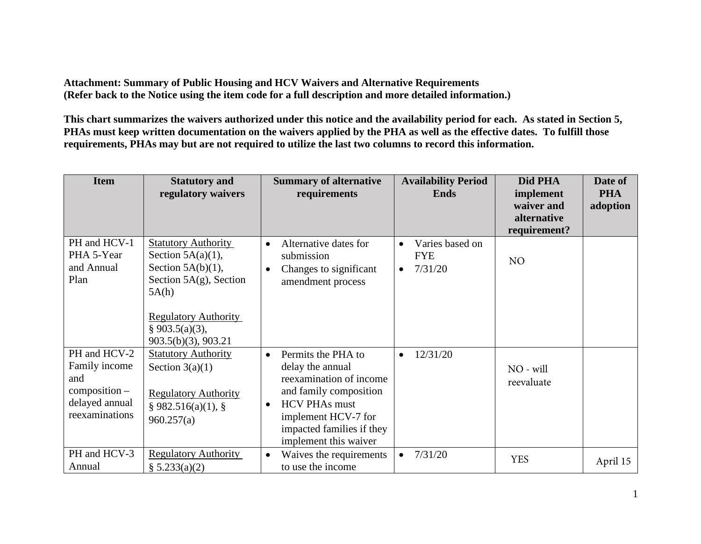**Attachment: Summary of Public Housing and HCV Waivers and Alternative Requirements (Refer back to the Notice using the item code for a full description and more detailed information.)** 

**This chart summarizes the waivers authorized under this notice and the availability period for each. As stated in Section 5, PHAs must keep written documentation on the waivers applied by the PHA as well as the effective dates. To fulfill those requirements, PHAs may but are not required to utilize the last two columns to record this information.** 

| <b>Item</b>                                                                                 | <b>Statutory and</b><br>regulatory waivers                                                                                                                                               | <b>Summary of alternative</b><br>requirements                                                                                                                                                                              | <b>Availability Period</b><br><b>Ends</b>                          | Did PHA<br>implement<br>waiver and<br>alternative<br>requirement? | Date of<br><b>PHA</b><br>adoption |
|---------------------------------------------------------------------------------------------|------------------------------------------------------------------------------------------------------------------------------------------------------------------------------------------|----------------------------------------------------------------------------------------------------------------------------------------------------------------------------------------------------------------------------|--------------------------------------------------------------------|-------------------------------------------------------------------|-----------------------------------|
| PH and HCV-1<br>PHA 5-Year<br>and Annual<br>Plan                                            | <b>Statutory Authority</b><br>Section $5A(a)(1)$ ,<br>Section $5A(b)(1)$ ,<br>Section $5A(g)$ , Section<br>5A(h)<br><b>Regulatory Authority</b><br>§ 903.5(a)(3),<br>903.5(b)(3), 903.21 | Alternative dates for<br>$\bullet$<br>submission<br>Changes to significant<br>$\bullet$<br>amendment process                                                                                                               | Varies based on<br>$\bullet$<br><b>FYE</b><br>7/31/20<br>$\bullet$ | N <sub>O</sub>                                                    |                                   |
| PH and HCV-2<br>Family income<br>and<br>$composition -$<br>delayed annual<br>reexaminations | <b>Statutory Authority</b><br>Section $3(a)(1)$<br><b>Regulatory Authority</b><br>§ 982.516(a)(1), §<br>960.257(a)                                                                       | Permits the PHA to<br>$\bullet$<br>delay the annual<br>reexamination of income<br>and family composition<br><b>HCV PHAs must</b><br>$\bullet$<br>implement HCV-7 for<br>impacted families if they<br>implement this waiver | 12/31/20                                                           | NO - will<br>reevaluate                                           |                                   |
| PH and HCV-3<br>Annual                                                                      | <b>Regulatory Authority</b><br>§ 5.233(a)(2)                                                                                                                                             | Waives the requirements<br>$\bullet$<br>to use the income                                                                                                                                                                  | 7/31/20<br>$\bullet$                                               | <b>YES</b>                                                        | April 15                          |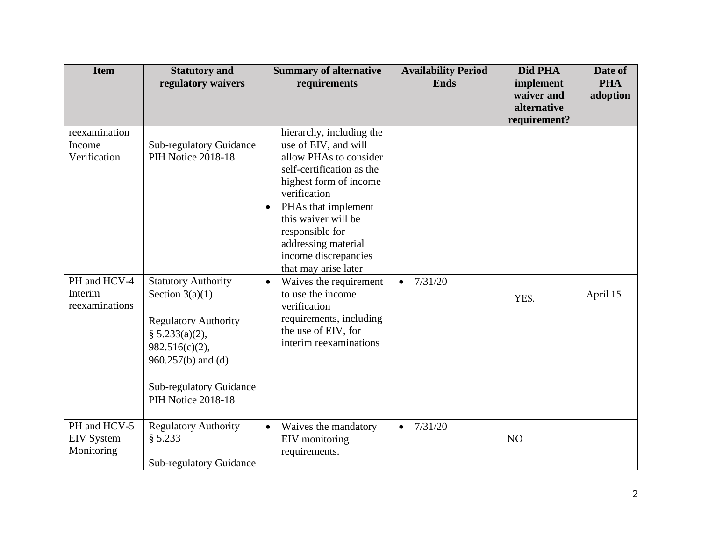| <b>Item</b>                                     | <b>Statutory and</b><br>regulatory waivers                                                                                                                                                       | <b>Summary of alternative</b><br>requirements                                                                                                                                                                                                                                                          | <b>Availability Period</b><br><b>Ends</b> | Did PHA<br>implement<br>waiver and | Date of<br><b>PHA</b><br>adoption |
|-------------------------------------------------|--------------------------------------------------------------------------------------------------------------------------------------------------------------------------------------------------|--------------------------------------------------------------------------------------------------------------------------------------------------------------------------------------------------------------------------------------------------------------------------------------------------------|-------------------------------------------|------------------------------------|-----------------------------------|
|                                                 |                                                                                                                                                                                                  |                                                                                                                                                                                                                                                                                                        |                                           | alternative<br>requirement?        |                                   |
| reexamination<br>Income<br>Verification         | <b>Sub-regulatory Guidance</b><br>PIH Notice 2018-18                                                                                                                                             | hierarchy, including the<br>use of EIV, and will<br>allow PHAs to consider<br>self-certification as the<br>highest form of income<br>verification<br>PHAs that implement<br>$\bullet$<br>this waiver will be<br>responsible for<br>addressing material<br>income discrepancies<br>that may arise later |                                           |                                    |                                   |
| PH and HCV-4<br>Interim<br>reexaminations       | <b>Statutory Authority</b><br>Section $3(a)(1)$<br><b>Regulatory Authority</b><br>§ 5.233(a)(2),<br>982.516(c)(2),<br>960.257(b) and (d)<br><b>Sub-regulatory Guidance</b><br>PIH Notice 2018-18 | Waives the requirement<br>$\bullet$<br>to use the income<br>verification<br>requirements, including<br>the use of EIV, for<br>interim reexaminations                                                                                                                                                   | 7/31/20<br>$\bullet$                      | YES.                               | April 15                          |
| PH and HCV-5<br><b>EIV</b> System<br>Monitoring | <b>Regulatory Authority</b><br>§ 5.233<br><b>Sub-regulatory Guidance</b>                                                                                                                         | Waives the mandatory<br>$\bullet$<br>EIV monitoring<br>requirements.                                                                                                                                                                                                                                   | 7/31/20                                   | NO                                 |                                   |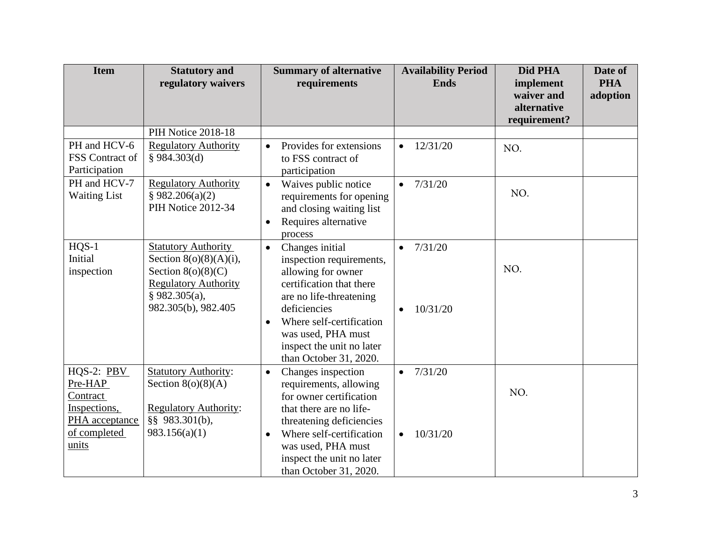| <b>Item</b>                     | <b>Statutory and</b><br>regulatory waivers     | <b>Summary of alternative</b><br>requirements   | <b>Availability Period</b><br><b>Ends</b> | Did PHA<br>implement<br>waiver and<br>alternative | Date of<br><b>PHA</b><br>adoption |
|---------------------------------|------------------------------------------------|-------------------------------------------------|-------------------------------------------|---------------------------------------------------|-----------------------------------|
|                                 |                                                |                                                 |                                           | requirement?                                      |                                   |
|                                 | PIH Notice 2018-18                             |                                                 |                                           |                                                   |                                   |
| PH and HCV-6<br>FSS Contract of | <b>Regulatory Authority</b><br>§ 984.303(d)    | Provides for extensions<br>$\bullet$            | 12/31/20<br>$\bullet$                     | NO.                                               |                                   |
| Participation                   |                                                | to FSS contract of<br>participation             |                                           |                                                   |                                   |
| PH and HCV-7                    | <b>Regulatory Authority</b>                    | Waives public notice<br>$\bullet$               | 7/31/20<br>$\bullet$                      |                                                   |                                   |
| <b>Waiting List</b>             | § 982.206(a)(2)                                | requirements for opening                        |                                           | NO.                                               |                                   |
|                                 | PIH Notice 2012-34                             | and closing waiting list                        |                                           |                                                   |                                   |
|                                 |                                                | Requires alternative<br>$\bullet$               |                                           |                                                   |                                   |
|                                 |                                                | process                                         |                                           |                                                   |                                   |
| $HQS-1$                         | <b>Statutory Authority</b>                     | Changes initial<br>$\bullet$                    | 7/31/20                                   |                                                   |                                   |
| Initial                         | Section $8(0)(8)(A)(i)$ ,                      | inspection requirements,                        |                                           | NO.                                               |                                   |
| inspection                      | Section $8(o)(8)(C)$                           | allowing for owner                              |                                           |                                                   |                                   |
|                                 | <b>Regulatory Authority</b><br>$§$ 982.305(a), | certification that there                        |                                           |                                                   |                                   |
|                                 | 982.305(b), 982.405                            | are no life-threatening<br>deficiencies         | 10/31/20                                  |                                                   |                                   |
|                                 |                                                | Where self-certification<br>$\bullet$           |                                           |                                                   |                                   |
|                                 |                                                | was used, PHA must                              |                                           |                                                   |                                   |
|                                 |                                                | inspect the unit no later                       |                                           |                                                   |                                   |
|                                 |                                                | than October 31, 2020.                          |                                           |                                                   |                                   |
| $HQS-2: PBV$                    | <b>Statutory Authority:</b>                    | Changes inspection<br>$\bullet$                 | 7/31/20<br>$\bullet$                      |                                                   |                                   |
| Pre-HAP                         | Section $8(o)(8)(A)$                           | requirements, allowing                          |                                           | NO.                                               |                                   |
| Contract                        |                                                | for owner certification                         |                                           |                                                   |                                   |
| Inspections,                    | <b>Regulatory Authority:</b>                   | that there are no life-                         |                                           |                                                   |                                   |
| PHA acceptance                  | §§ 983.301(b),                                 | threatening deficiencies                        |                                           |                                                   |                                   |
| of completed<br>units           | 983.156(a)(1)                                  | Where self-certification<br>$\bullet$           | 10/31/20<br>$\bullet$                     |                                                   |                                   |
|                                 |                                                | was used, PHA must<br>inspect the unit no later |                                           |                                                   |                                   |
|                                 |                                                | than October 31, 2020.                          |                                           |                                                   |                                   |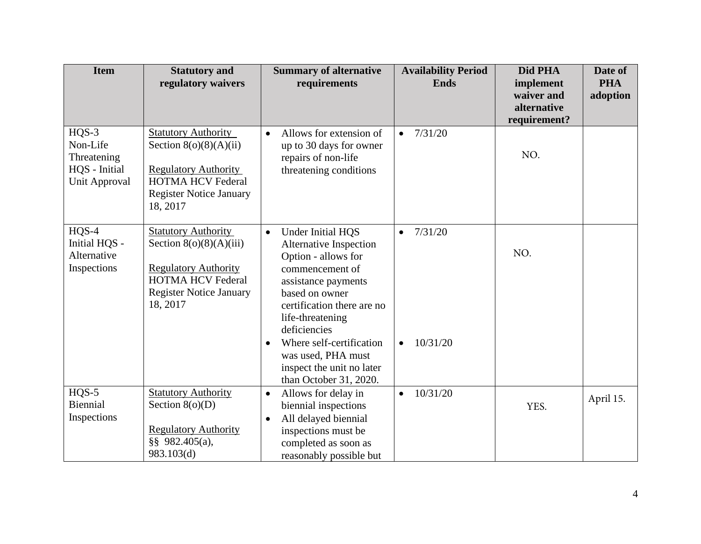| <b>Item</b>                                                          | <b>Statutory and</b><br>regulatory waivers                                                                                                                       | <b>Summary of alternative</b><br>requirements                                                                                                                                                                                                                                                                                       | <b>Availability Period</b><br><b>Ends</b>     | Did PHA<br>implement<br>waiver and<br>alternative<br>requirement? | Date of<br><b>PHA</b><br>adoption |
|----------------------------------------------------------------------|------------------------------------------------------------------------------------------------------------------------------------------------------------------|-------------------------------------------------------------------------------------------------------------------------------------------------------------------------------------------------------------------------------------------------------------------------------------------------------------------------------------|-----------------------------------------------|-------------------------------------------------------------------|-----------------------------------|
| $HQS-3$<br>Non-Life<br>Threatening<br>HQS - Initial<br>Unit Approval | <b>Statutory Authority</b><br>Section $8(o)(8)(A)(ii)$<br><b>Regulatory Authority</b><br><b>HOTMA HCV Federal</b><br><b>Register Notice January</b><br>18, 2017  | Allows for extension of<br>$\bullet$<br>up to 30 days for owner<br>repairs of non-life<br>threatening conditions                                                                                                                                                                                                                    | 7/31/20<br>$\bullet$                          | NO.                                                               |                                   |
| $HQS-4$<br>Initial HQS -<br>Alternative<br>Inspections               | <b>Statutory Authority</b><br>Section $8(0)(8)(A)(iii)$<br><b>Regulatory Authority</b><br><b>HOTMA HCV Federal</b><br><b>Register Notice January</b><br>18, 2017 | Under Initial HQS<br>$\bullet$<br>Alternative Inspection<br>Option - allows for<br>commencement of<br>assistance payments<br>based on owner<br>certification there are no<br>life-threatening<br>deficiencies<br>Where self-certification<br>$\bullet$<br>was used, PHA must<br>inspect the unit no later<br>than October 31, 2020. | 7/31/20<br>$\bullet$<br>10/31/20<br>$\bullet$ | NO.                                                               |                                   |
| $HQS-5$<br>Biennial<br>Inspections                                   | <b>Statutory Authority</b><br>Section $8(o)(D)$<br><b>Regulatory Authority</b><br>§§ 982.405(a),<br>983.103(d)                                                   | Allows for delay in<br>$\bullet$<br>biennial inspections<br>All delayed biennial<br>$\bullet$<br>inspections must be<br>completed as soon as<br>reasonably possible but                                                                                                                                                             | 10/31/20<br>$\bullet$                         | YES.                                                              | April 15.                         |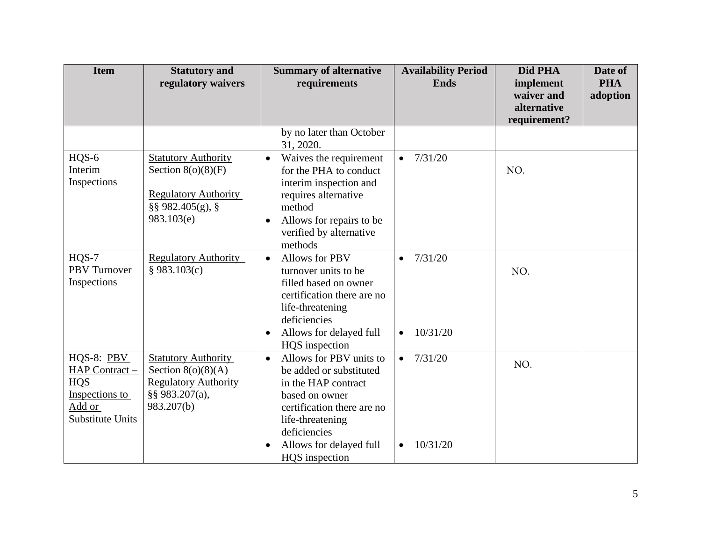| <b>Item</b>                                                                         | <b>Statutory and</b><br>regulatory waivers                                                                              | <b>Summary of alternative</b><br>requirements                                                                                                                                                                                        | <b>Availability Period</b><br><b>Ends</b>     | Did PHA<br>implement<br>waiver and<br>alternative | Date of<br><b>PHA</b><br>adoption |
|-------------------------------------------------------------------------------------|-------------------------------------------------------------------------------------------------------------------------|--------------------------------------------------------------------------------------------------------------------------------------------------------------------------------------------------------------------------------------|-----------------------------------------------|---------------------------------------------------|-----------------------------------|
|                                                                                     |                                                                                                                         |                                                                                                                                                                                                                                      |                                               | requirement?                                      |                                   |
|                                                                                     |                                                                                                                         | by no later than October<br>31, 2020.                                                                                                                                                                                                |                                               |                                                   |                                   |
| HQS-6<br>Interim<br>Inspections                                                     | <b>Statutory Authority</b><br>Section $8(o)(8)(F)$<br><b>Regulatory Authority</b><br>$\S$ § 982.405(g), §<br>983.103(e) | Waives the requirement<br>$\bullet$<br>for the PHA to conduct<br>interim inspection and<br>requires alternative<br>method<br>Allows for repairs to be<br>$\bullet$<br>verified by alternative<br>methods                             | 7/31/20<br>$\bullet$                          | NO.                                               |                                   |
| $HQS-7$<br><b>PBV</b> Turnover<br>Inspections                                       | <b>Regulatory Authority</b><br>§ 983.103(c)                                                                             | <b>Allows for PBV</b><br>$\bullet$<br>turnover units to be<br>filled based on owner<br>certification there are no<br>life-threatening<br>deficiencies<br>Allows for delayed full<br>$\bullet$<br>HQS inspection                      | 7/31/20<br>$\bullet$<br>10/31/20<br>$\bullet$ | NO.                                               |                                   |
| HQS-8: PBV<br>HAP Contract -<br>HQS<br>Inspections to<br>Add or<br>Substitute Units | <b>Statutory Authority</b><br>Section $8(o)(8)(A)$<br><b>Regulatory Authority</b><br>§§ 983.207(a),<br>983.207(b)       | Allows for PBV units to<br>$\bullet$<br>be added or substituted<br>in the HAP contract<br>based on owner<br>certification there are no<br>life-threatening<br>deficiencies<br>Allows for delayed full<br>$\bullet$<br>HQS inspection | 7/31/20<br>$\bullet$<br>10/31/20<br>$\bullet$ | NO.                                               |                                   |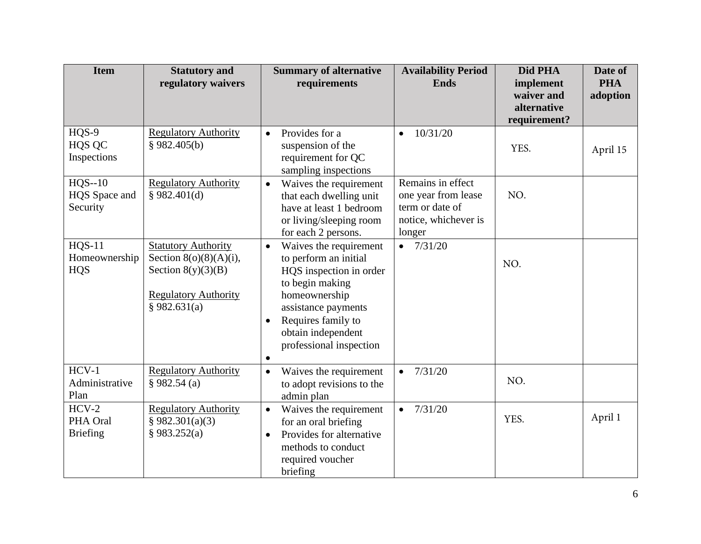| <b>Item</b>                                  | <b>Statutory and</b><br>regulatory waivers                                                                                     | <b>Summary of alternative</b><br>requirements                                                                                                                                                                                                       | <b>Availability Period</b><br><b>Ends</b>                                                     | Did PHA<br>implement<br>waiver and<br>alternative<br>requirement? | Date of<br><b>PHA</b><br>adoption |
|----------------------------------------------|--------------------------------------------------------------------------------------------------------------------------------|-----------------------------------------------------------------------------------------------------------------------------------------------------------------------------------------------------------------------------------------------------|-----------------------------------------------------------------------------------------------|-------------------------------------------------------------------|-----------------------------------|
| HQS-9<br>HQS QC<br>Inspections               | <b>Regulatory Authority</b><br>§ 982.405(b)                                                                                    | Provides for a<br>$\bullet$<br>suspension of the<br>requirement for QC<br>sampling inspections                                                                                                                                                      | 10/31/20<br>$\bullet$                                                                         | YES.                                                              | April 15                          |
| $HQS-10$<br>HQS Space and<br>Security        | <b>Regulatory Authority</b><br>\$982.401(d)                                                                                    | Waives the requirement<br>$\bullet$<br>that each dwelling unit<br>have at least 1 bedroom<br>or living/sleeping room<br>for each 2 persons.                                                                                                         | Remains in effect<br>one year from lease<br>term or date of<br>notice, whichever is<br>longer | NO.                                                               |                                   |
| <b>HQS-11</b><br>Homeownership<br><b>HQS</b> | <b>Statutory Authority</b><br>Section $8(0)(8)(A)(i)$ ,<br>Section $8(y)(3)(B)$<br><b>Regulatory Authority</b><br>§ 982.631(a) | Waives the requirement<br>$\bullet$<br>to perform an initial<br>HQS inspection in order<br>to begin making<br>homeownership<br>assistance payments<br>Requires family to<br>$\bullet$<br>obtain independent<br>professional inspection<br>$\bullet$ | $-7/31/20$                                                                                    | NO.                                                               |                                   |
| $HCV-1$<br>Administrative<br>Plan            | <b>Regulatory Authority</b><br>§ 982.54(a)                                                                                     | Waives the requirement<br>$\bullet$<br>to adopt revisions to the<br>admin plan                                                                                                                                                                      | 7/31/20<br>$\bullet$                                                                          | NO.                                                               |                                   |
| $HCV-2$<br>PHA Oral<br><b>Briefing</b>       | <b>Regulatory Authority</b><br>§ 982.301(a)(3)<br>§ 983.252(a)                                                                 | Waives the requirement<br>$\bullet$<br>for an oral briefing<br>Provides for alternative<br>$\bullet$<br>methods to conduct<br>required voucher<br>briefing                                                                                          | 7/31/20<br>$\bullet$                                                                          | YES.                                                              | April 1                           |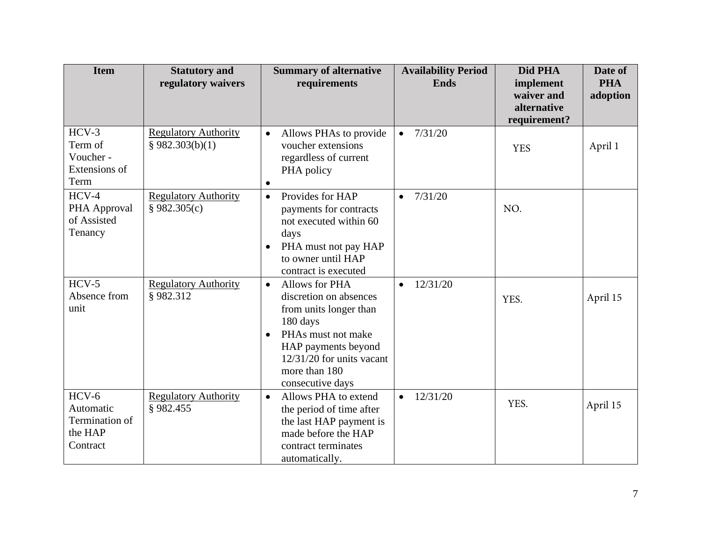| <b>Item</b>                                                   | <b>Statutory and</b><br>regulatory waivers     | <b>Summary of alternative</b><br>requirements                                                                                                                                                                                    | <b>Availability Period</b><br><b>Ends</b> | Did PHA<br>implement<br>waiver and<br>alternative<br>requirement? | Date of<br><b>PHA</b><br>adoption |
|---------------------------------------------------------------|------------------------------------------------|----------------------------------------------------------------------------------------------------------------------------------------------------------------------------------------------------------------------------------|-------------------------------------------|-------------------------------------------------------------------|-----------------------------------|
| $HCV-3$<br>Term of<br>Voucher -<br>Extensions of<br>Term      | <b>Regulatory Authority</b><br>§ 982.303(b)(1) | Allows PHAs to provide<br>$\bullet$<br>voucher extensions<br>regardless of current<br>PHA policy<br>$\bullet$                                                                                                                    | 7/31/20<br>$\bullet$                      | <b>YES</b>                                                        | April 1                           |
| $HCV-4$<br>PHA Approval<br>of Assisted<br>Tenancy             | <b>Regulatory Authority</b><br>§ 982.305(c)    | Provides for HAP<br>$\bullet$<br>payments for contracts<br>not executed within 60<br>days<br>PHA must not pay HAP<br>$\bullet$<br>to owner until HAP<br>contract is executed                                                     | 7/31/20<br>$\bullet$                      | NO.                                                               |                                   |
| $HCV-5$<br>Absence from<br>unit                               | <b>Regulatory Authority</b><br>§982.312        | <b>Allows for PHA</b><br>$\bullet$<br>discretion on absences<br>from units longer than<br>180 days<br>PHAs must not make<br>$\bullet$<br>HAP payments beyond<br>$12/31/20$ for units vacant<br>more than 180<br>consecutive days | 12/31/20<br>$\bullet$                     | YES.                                                              | April 15                          |
| $HCV-6$<br>Automatic<br>Termination of<br>the HAP<br>Contract | <b>Regulatory Authority</b><br>§982.455        | Allows PHA to extend<br>$\bullet$<br>the period of time after<br>the last HAP payment is<br>made before the HAP<br>contract terminates<br>automatically.                                                                         | 12/31/20<br>$\bullet$                     | YES.                                                              | April 15                          |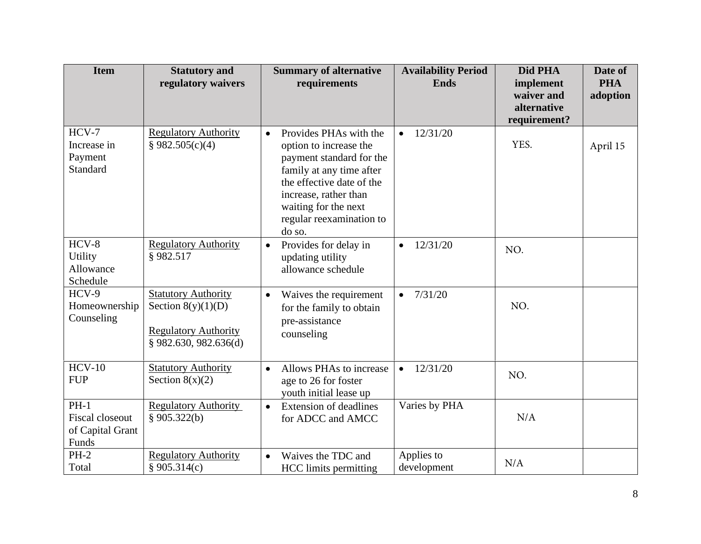| <b>Item</b>                                                   | <b>Statutory and</b><br>regulatory waivers                                                                   | <b>Summary of alternative</b><br>requirements                                                                                                                                                                                             | <b>Availability Period</b><br><b>Ends</b> | Did PHA<br>implement        | Date of<br><b>PHA</b> |
|---------------------------------------------------------------|--------------------------------------------------------------------------------------------------------------|-------------------------------------------------------------------------------------------------------------------------------------------------------------------------------------------------------------------------------------------|-------------------------------------------|-----------------------------|-----------------------|
|                                                               |                                                                                                              |                                                                                                                                                                                                                                           |                                           | waiver and                  | adoption              |
|                                                               |                                                                                                              |                                                                                                                                                                                                                                           |                                           | alternative<br>requirement? |                       |
| $HCV-7$<br>Increase in<br>Payment<br>Standard                 | <b>Regulatory Authority</b><br>§ 982.505(c)(4)                                                               | Provides PHAs with the<br>$\bullet$<br>option to increase the<br>payment standard for the<br>family at any time after<br>the effective date of the<br>increase, rather than<br>waiting for the next<br>regular reexamination to<br>do so. | 12/31/20<br>$\bullet$                     | YES.                        | April 15              |
| $HCV-8$<br><b>Utility</b><br>Allowance<br>Schedule            | <b>Regulatory Authority</b><br>§982.517                                                                      | Provides for delay in<br>$\bullet$<br>updating utility<br>allowance schedule                                                                                                                                                              | 12/31/20<br>$\bullet$                     | NO.                         |                       |
| $HCV-9$<br>Homeownership<br>Counseling                        | <b>Statutory Authority</b><br>Section $8(y)(1)(D)$<br><b>Regulatory Authority</b><br>$§$ 982.630, 982.636(d) | Waives the requirement<br>$\bullet$<br>for the family to obtain<br>pre-assistance<br>counseling                                                                                                                                           | 7/31/20<br>$\bullet$                      | NO.                         |                       |
| $HCV-10$<br><b>FUP</b>                                        | <b>Statutory Authority</b><br>Section $8(x)(2)$                                                              | Allows PHAs to increase<br>$\bullet$<br>age to 26 for foster<br>youth initial lease up                                                                                                                                                    | 12/31/20<br>$\bullet$                     | NO.                         |                       |
| $PH-1$<br><b>Fiscal closeout</b><br>of Capital Grant<br>Funds | <b>Regulatory Authority</b><br>§ $905.322(b)$                                                                | <b>Extension of deadlines</b><br>$\bullet$<br>for ADCC and AMCC                                                                                                                                                                           | Varies by PHA                             | N/A                         |                       |
| $PH-2$<br>Total                                               | <b>Regulatory Authority</b><br>§ 905.314(c)                                                                  | Waives the TDC and<br>$\bullet$<br><b>HCC</b> limits permitting                                                                                                                                                                           | Applies to<br>development                 | N/A                         |                       |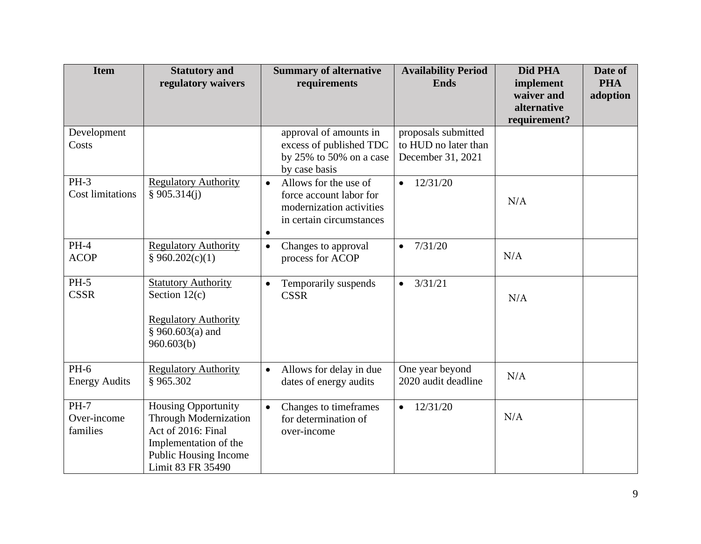| <b>Item</b>                            | <b>Statutory and</b><br>regulatory waivers                                                                                                              | <b>Summary of alternative</b><br>requirements                                                                                      | <b>Availability Period</b><br><b>Ends</b>                        | Did PHA<br>implement                      | Date of<br><b>PHA</b> |
|----------------------------------------|---------------------------------------------------------------------------------------------------------------------------------------------------------|------------------------------------------------------------------------------------------------------------------------------------|------------------------------------------------------------------|-------------------------------------------|-----------------------|
|                                        |                                                                                                                                                         |                                                                                                                                    |                                                                  | waiver and<br>alternative<br>requirement? | adoption              |
| Development<br>Costs                   |                                                                                                                                                         | approval of amounts in<br>excess of published TDC<br>by $25\%$ to 50% on a case<br>by case basis                                   | proposals submitted<br>to HUD no later than<br>December 31, 2021 |                                           |                       |
| $PH-3$<br><b>Cost limitations</b>      | <b>Regulatory Authority</b><br>\$905.314(i)                                                                                                             | Allows for the use of<br>$\bullet$<br>force account labor for<br>modernization activities<br>in certain circumstances<br>$\bullet$ | 12/31/20<br>$\bullet$                                            | N/A                                       |                       |
| $PH-4$<br><b>ACOP</b>                  | <b>Regulatory Authority</b><br>§ 960.202(c)(1)                                                                                                          | Changes to approval<br>$\bullet$<br>process for ACOP                                                                               | 7/31/20<br>$\bullet$                                             | N/A                                       |                       |
| $PH-5$<br><b>CSSR</b>                  | <b>Statutory Authority</b><br>Section $12(c)$<br><b>Regulatory Authority</b><br>§ 960.603(a) and<br>960.603(b)                                          | Temporarily suspends<br>$\bullet$<br><b>CSSR</b>                                                                                   | 3/31/21<br>$\bullet$                                             | N/A                                       |                       |
| <b>PH-6</b><br><b>Energy Audits</b>    | <b>Regulatory Authority</b><br>§965.302                                                                                                                 | Allows for delay in due<br>$\bullet$<br>dates of energy audits                                                                     | One year beyond<br>2020 audit deadline                           | N/A                                       |                       |
| <b>PH-7</b><br>Over-income<br>families | <b>Housing Opportunity</b><br><b>Through Modernization</b><br>Act of 2016: Final<br>Implementation of the<br>Public Housing Income<br>Limit 83 FR 35490 | Changes to timeframes<br>$\bullet$<br>for determination of<br>over-income                                                          | 12/31/20<br>$\bullet$                                            | N/A                                       |                       |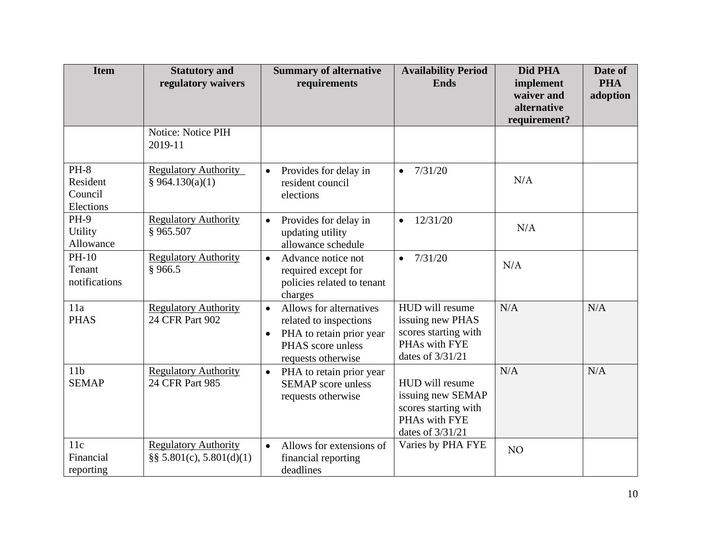| <b>Item</b>                                | <b>Statutory and</b><br>regulatory waivers                  | <b>Summary of alternative</b><br>requirements                                                                                                      | <b>Availability Period</b><br><b>Ends</b>                                                         | Did PHA<br>implement<br>waiver and<br>alternative<br>requirement? | Date of<br><b>PHA</b><br>adoption |
|--------------------------------------------|-------------------------------------------------------------|----------------------------------------------------------------------------------------------------------------------------------------------------|---------------------------------------------------------------------------------------------------|-------------------------------------------------------------------|-----------------------------------|
|                                            | Notice: Notice PIH<br>2019-11                               |                                                                                                                                                    |                                                                                                   |                                                                   |                                   |
| $PH-8$<br>Resident<br>Council<br>Elections | <b>Regulatory Authority</b><br>§ 964.130(a)(1)              | Provides for delay in<br>$\bullet$<br>resident council<br>elections                                                                                | 7/31/20<br>$\bullet$                                                                              | N/A                                                               |                                   |
| <b>PH-9</b><br><b>Utility</b><br>Allowance | <b>Regulatory Authority</b><br>§965.507                     | Provides for delay in<br>$\bullet$<br>updating utility<br>allowance schedule                                                                       | 12/31/20<br>$\bullet$                                                                             | N/A                                                               |                                   |
| PH-10<br>Tenant<br>notifications           | <b>Regulatory Authority</b><br>§966.5                       | Advance notice not<br>$\bullet$<br>required except for<br>policies related to tenant<br>charges                                                    | 7/31/20<br>$\bullet$                                                                              | N/A                                                               |                                   |
| 11a<br><b>PHAS</b>                         | <b>Regulatory Authority</b><br>24 CFR Part 902              | Allows for alternatives<br>$\bullet$<br>related to inspections<br>PHA to retain prior year<br>$\bullet$<br>PHAS score unless<br>requests otherwise | HUD will resume<br>issuing new PHAS<br>scores starting with<br>PHAs with FYE<br>dates of 3/31/21  | N/A                                                               | N/A                               |
| 11 <sub>b</sub><br><b>SEMAP</b>            | <b>Regulatory Authority</b><br>24 CFR Part 985              | PHA to retain prior year<br>$\bullet$<br><b>SEMAP</b> score unless<br>requests otherwise                                                           | HUD will resume<br>issuing new SEMAP<br>scores starting with<br>PHAs with FYE<br>dates of 3/31/21 | N/A                                                               | N/A                               |
| 11c<br>Financial<br>reporting              | <b>Regulatory Authority</b><br>$\S$ § 5.801(c), 5.801(d)(1) | Allows for extensions of<br>$\bullet$<br>financial reporting<br>deadlines                                                                          | Varies by PHA FYE                                                                                 | N <sub>O</sub>                                                    |                                   |